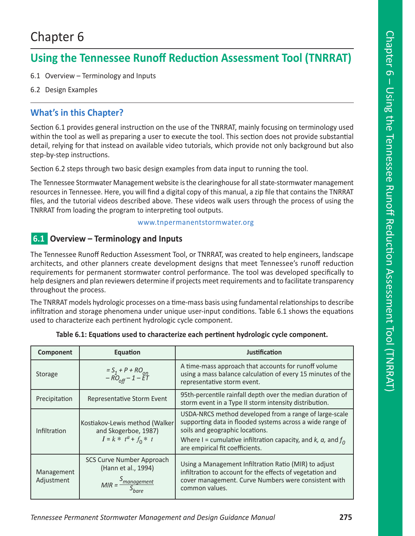# Chapter 6

## **Using the Tennessee Runoff Reduction Assessment Tool (TNRRAT)**

- 6.1 Overview Terminology and Inputs
- 6.2 Design Examples

## **What's in this Chapter?**

Section 6.1 provides general instruction on the use of the TNRRAT, mainly focusing on terminology used within the tool as well as preparing a user to execute the tool. This section does not provide substantial detail, relying for that instead on available video tutorials, which provide not only background but also step-by-step instructions.

Section 6.2 steps through two basic design examples from data input to running the tool.

The Tennessee Stormwater Management website is the clearinghouse for all state-stormwater management resources in Tennessee. Here, you will find a digital copy of this manual, a zip file that contains the TNRRAT files, and the tutorial videos described above. These videos walk users through the process of using the TNRRAT from loading the program to interpreting tool outputs.

#### www.tnpermanentstormwater.org

## n**6.1 Overview – Terminology and Inputs**

The Tennessee Runoff Reduction Assessment Tool, or TNRRAT, was created to help engineers, landscape architects, and other planners create development designs that meet Tennessee's runoff reduction requirements for permanent stormwater control performance. The tool was developed specifically to help designers and plan reviewers determine if projects meet requirements and to facilitate transparency throughout the process.

The TNRRAT models hydrologic processes on a time-mass basis using fundamental relationships to describe infiltration and storage phenomena under unique user-input conditions. Table 6.1 shows the equations used to characterize each pertinent hydrologic cycle component.

| Component                | <b>Equation</b>                                                                             | Justification                                                                                                                                                                                                                                                      |
|--------------------------|---------------------------------------------------------------------------------------------|--------------------------------------------------------------------------------------------------------------------------------------------------------------------------------------------------------------------------------------------------------------------|
| Storage                  | $= S_1 + P + RO_{on}$<br>$- RO_{off} - 1 - ET$                                              | A time-mass approach that accounts for runoff volume<br>using a mass balance calculation of every 15 minutes of the<br>representative storm event.                                                                                                                 |
| Precipitation            | Representative Storm Event                                                                  | 95th-percentile rainfall depth over the median duration of<br>storm event in a Type II storm intensity distribution.                                                                                                                                               |
| Infiltration             | Kostiakov-Lewis method (Walker<br>and Skogerboe, 1987)<br>$I = k * t^a + f_0 * t$           | USDA-NRCS method developed from a range of large-scale<br>supporting data in flooded systems across a wide range of<br>soils and geographic locations.<br>Where I = cumulative infiltration capacity, and $k$ , $a$ , and $f_0$<br>are empirical fit coefficients. |
| Management<br>Adjustment | SCS Curve Number Approach<br>(Hann et al., 1994)<br>$MIR = \frac{5_{management}}{S_{bare}}$ | Using a Management Infiltration Ratio (MIR) to adjust<br>infiltration to account for the effects of vegetation and<br>cover management. Curve Numbers were consistent with<br>common values.                                                                       |

#### **Table 6.1: Equations used to characterize each pertinent hydrologic cycle component.**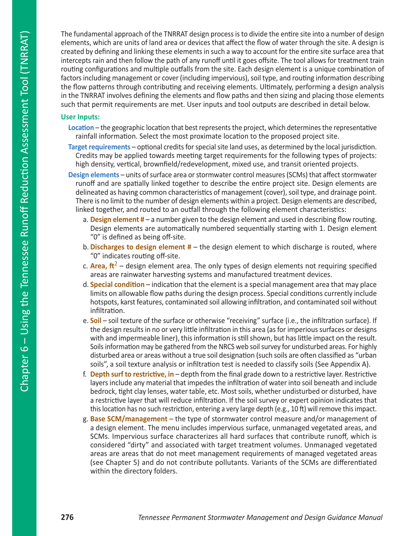The fundamental approach of the TNRRAT design process is to divide the entire site into a number of design elements, which are units of land area or devices that affect the flow of water through the site. A design is created by defining and linking these elements in such a way to account for the entire site surface area that intercepts rain and then follow the path of any runoff until it goes offsite. The tool allows for treatment train routing configurations and multiple outfalls from the site. Each design element is a unique combination of factors including management or cover (including impervious), soil type, and routing information describing the flow patterns through contributing and receiving elements. Ultimately, performing a design analysis in the TNRRAT involves defining the elements and flow paths and then sizing and placing those elements such that permit requirements are met. User inputs and tool outputs are described in detail below.

#### **User Inputs:**

- **Location** the geographic location that best represents the project, which determines the representative rainfall information. Select the most proximate location to the proposed project site.
- **Target requirements**  optional credits for special site land uses, as determined by the local jurisdiction. Credits may be applied towards meeting target requirements for the following types of projects: high density, vertical, brownfield/redevelopment, mixed use, and transit oriented projects.
- **Design elements**  units of surface area or stormwater control measures (SCMs) that affect stormwater runoff and are spatially linked together to describe the entire project site. Design elements are delineated as having common characteristics of management (cover), soil type, and drainage point. There is no limit to the number of design elements within a project. Design elements are described, linked together, and routed to an outfall through the following element characteristics:
	- a. **Design element #** a number given to the design element and used in describing flow routing. Design elements are automatically numbered sequentially starting with 1. Design element "0" is defined as being off-site.
	- b. **Discharges to design element #** the design element to which discharge is routed, where "0" indicates routing off-site.
	- c. **Area,**  $\frac{\hbar^2}{2}$  design element area. The only types of design elements not requiring specified areas are rainwater harvesting systems and manufactured treatment devices.
	- d. **Special condition** indication that the element is a special management area that may place limits on allowable flow paths during the design process. Special conditions currently include hotspots, karst features, contaminated soil allowing infiltration, and contaminated soil without infiltration.
	- e. **Soil** soil texture of the surface or otherwise "receiving" surface (i.e., the infiltration surface). If the design results in no or very little infiltration in this area (as for imperious surfaces or designs with and impermeable liner), this information is still shown, but has little impact on the result. Soils information may be gathered from the NRCS web soil survey for undisturbed areas. For highly disturbed area or areas without a true soil designation (such soils are often classified as "urban soils", a soil texture analysis or infiltration test is needed to classify soils (See Appendix A).
	- f. **Depth surf to restrictive, in** depth from the final grade down to a restrictive layer. Restrictive layers include any material that impedes the infiltration of water into soil beneath and include bedrock, tight clay lenses, water table, etc. Most soils, whether undisturbed or disturbed, have a restrictive layer that will reduce infiltration. If the soil survey or expert opinion indicates that this location has no such restriction, entering a very large depth (e.g., 10 ft) will remove this impact.
	- g. **Base SCM/management** the type of stormwater control measure and/or management of a design element. The menu includes impervious surface, unmanaged vegetated areas, and SCMs. Impervious surface characterizes all hard surfaces that contribute runoff, which is considered "dirty" and associated with target treatment volumes. Unmanaged vegetated areas are areas that do not meet management requirements of managed vegetated areas (see Chapter 5) and do not contribute pollutants. Variants of the SCMs are differentiated within the directory folders.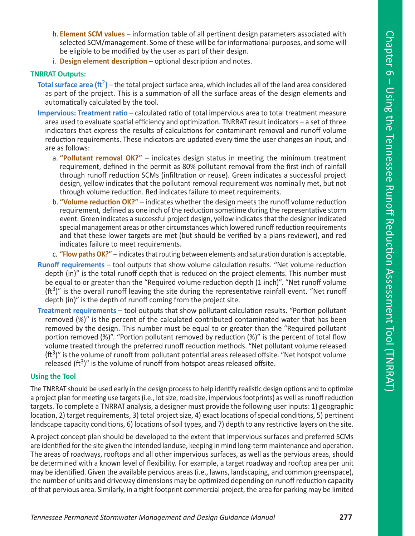- h. **Element SCM values** information table of all pertinent design parameters associated with selected SCM/management. Some of these will be for informational purposes, and some will be eligible to be modified by the user as part of their design.
- i. **Design element description** optional description and notes.

#### **TNRRAT Outputs:**

- **Total surface area (** $ft^2$ **)** the total project surface area, which includes all of the land area considered as part of the project. This is a summation of all the surface areas of the design elements and automatically calculated by the tool.
- **Impervious: Treatment ratio** calculated ratio of total impervious area to total treatment measure area used to evaluate spatial efficiency and optimization. TNRRAT result indicators – a set of three indicators that express the results of calculations for contaminant removal and runoff volume reduction requirements. These indicators are updated every time the user changes an input, and are as follows:
	- a. **"Pollutant removal OK?"** indicates design status in meeting the minimum treatment requirement, defined in the permit as 80% pollutant removal from the first inch of rainfall through runoff reduction SCMs (infiltration or reuse). Green indicates a successful project design, yellow indicates that the pollutant removal requirement was nominally met, but not through volume reduction. Red indicates failure to meet requirements.
	- b. **"Volume reduction OK?"** indicates whether the design meets the runoff volume reduction requirement, defined as one inch of the reduction sometime during the representative storm event. Green indicates a successful project design, yellow indicates that the designer indicated special management areas or other circumstances which lowered runoff reduction requirements and that these lower targets are met (but should be verified by a plans reviewer), and red indicates failure to meet requirements.
	- c. **"Flow paths OK?"** indicates that routing between elements and saturation duration is acceptable.
- **Runoff requirements** tool outputs that show volume calculation results. "Net volume reduction depth (in)" is the total runoff depth that is reduced on the project elements. This number must be equal to or greater than the "Required volume reduction depth (1 inch)". "Net runoff volume  $(ft<sup>3</sup>)$ " is the overall runoff leaving the site during the representative rainfall event. "Net runoff depth (in)" is the depth of runoff coming from the project site.
- **Treatment requirements**  tool outputs that show pollutant calculation results. "Portion pollutant removed (%)" is the percent of the calculated contributed contaminated water that has been removed by the design. This number must be equal to or greater than the "Required pollutant portion removed (%)". "Portion pollutant removed by reduction (%)" is the percent of total flow volume treated through the preferred runoff reduction methods. "Net pollutant volume released  $(ft^3)$ " is the volume of runoff from pollutant potential areas released offsite. "Net hotspot volume released ( $ft^3$ )" is the volume of runoff from hotspot areas released offsite.

#### **Using the Tool**

The TNRRAT should be used early in the design process to help identify realistic design options and to optimize a project plan for meeting use targets (i.e., lot size, road size, impervious footprints) as well as runoff reduction targets. To complete a TNRRAT analysis, a designer must provide the following user inputs: 1) geographic location, 2) target requirements, 3) total project size, 4) exact locations of special conditions, 5) pertinent landscape capacity conditions, 6) locations of soil types, and 7) depth to any restrictive layers on the site.

A project concept plan should be developed to the extent that impervious surfaces and preferred SCMs are identified for the site given the intended landuse, keeping in mind long-term maintenance and operation. The areas of roadways, rooftops and all other impervious surfaces, as well as the pervious areas, should be determined with a known level of flexibility. For example, a target roadway and rooftop area per unit may be identified. Given the available pervious areas (i.e., lawns, landscaping, and common greenspace), the number of units and driveway dimensions may be optimized depending on runoff reduction capacity of that pervious area. Similarly, in a tight footprint commercial project, the area for parking may be limited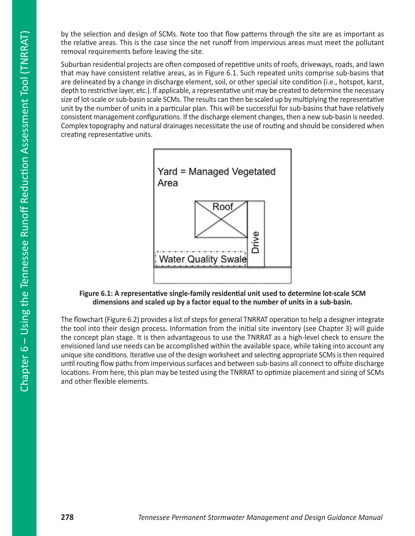by the selection and design of SCMs. Note too that flow patterns through the site are as important as the relative areas. This is the case since the net runoff from impervious areas must meet the pollutant removal requirements before leaving the site.

Suburban residential projects are often composed of repetitive units of roofs, driveways, roads, and lawn that may have consistent relative areas, as in Figure 6.1. Such repeated units comprise sub-basins that are delineated by a change in discharge element, soil, or other special site condition (i.e., hotspot, karst, depth to restrictive layer, etc.). If applicable, a representative unit may be created to determine the necessary size of lot-scale or sub-basin scale SCMs. The results can then be scaled up by multiplying the representative unit by the number of units in a particular plan. This will be successful for sub-basins that have relatively consistent management configurations. If the discharge element changes, then a new sub-basin is needed. Complex topography and natural drainages necessitate the use of routing and should be considered when creating representative units.



**Figure 6.1: A representative single-family residential unit used to determine lot-scale SCM dimensions and scaled up by a factor equal to the number of units in a sub-basin.**

The flowchart (Figure 6.2) provides a list of steps for general TNRRAT operation to help a designer integrate the tool into their design process. Information from the initial site inventory (see Chapter 3) will guide the concept plan stage. It is then advantageous to use the TNRRAT as a high-level check to ensure the envisioned land use needs can be accomplished within the available space, while taking into account any unique site conditions. Iterative use of the design worksheet and selecting appropriate SCMs is then required until routing flow paths from impervious surfaces and between sub-basins all connect to offsite discharge locations. From here, this plan may be tested using the TNRRAT to optimize placement and sizing of SCMs and other flexible elements.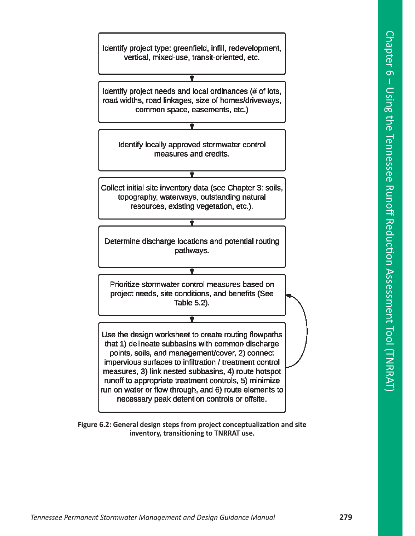

**Figure 6.2: General design steps from project conceptualization and site inventory, transitioning to TNRRAT use.**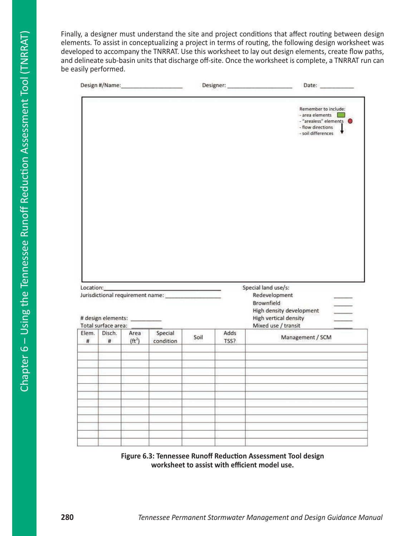Finally, a designer must understand the site and project conditions that affect routing between design elements. To assist in conceptualizing a project in terms of routing, the following design worksheet was developed to accompany the TNRRAT. Use this worksheet to lay out design elements, create flow paths, and delineate sub-basin units that discharge off-site. Once the worksheet is complete, a TNRRAT run can be easily performed.

|       |                                    |                  |                      |      | Date: _________ |                                                                                                             |
|-------|------------------------------------|------------------|----------------------|------|-----------------|-------------------------------------------------------------------------------------------------------------|
|       |                                    |                  |                      |      |                 | Remember to include:<br>- area elements<br>- "arealess" elements<br>- flow directions<br>- soil differences |
|       |                                    |                  |                      |      |                 |                                                                                                             |
|       |                                    |                  |                      |      |                 |                                                                                                             |
|       |                                    |                  |                      |      |                 |                                                                                                             |
|       |                                    |                  |                      |      |                 |                                                                                                             |
|       |                                    |                  |                      |      |                 |                                                                                                             |
|       |                                    |                  |                      |      |                 | Special land use/s:<br>Redevelopment<br>Brownfield<br>High density development                              |
|       | # design elements: _________       |                  |                      |      |                 | High vertical density                                                                                       |
| #     | Total surface area:<br>Disch.<br># | Area<br>$(ft^2)$ | Special<br>condition | Soil | Adds<br>TSS?    | Mixed use / transit<br>Management / SCM                                                                     |
|       |                                    |                  |                      |      |                 |                                                                                                             |
|       |                                    |                  |                      |      |                 |                                                                                                             |
|       |                                    |                  |                      |      |                 |                                                                                                             |
|       |                                    |                  |                      |      |                 |                                                                                                             |
|       |                                    |                  |                      |      |                 |                                                                                                             |
|       |                                    |                  |                      |      |                 |                                                                                                             |
|       |                                    |                  |                      |      |                 |                                                                                                             |
| Elem. |                                    |                  |                      |      |                 |                                                                                                             |

**Figure 6.3: Tennessee Runoff Reduction Assessment Tool design worksheet to assist with efficient model use.**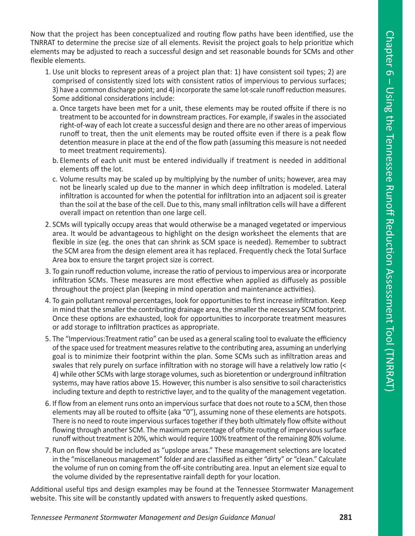Now that the project has been conceptualized and routing flow paths have been identified, use the TNRRAT to determine the precise size of all elements. Revisit the project goals to help prioritize which elements may be adjusted to reach a successful design and set reasonable bounds for SCMs and other flexible elements.

- 1. Use unit blocks to represent areas of a project plan that: 1) have consistent soil types; 2) are comprised of consistently sized lots with consistent ratios of impervious to pervious surfaces; 3) have a common discharge point; and 4) incorporate the same lot-scale runoff reduction measures. Some additional considerations include:
	- a. Once targets have been met for a unit, these elements may be routed offsite if there is no treatment to be accounted for in downstream practices. For example, if swales in the associated right-of-way of each lot create a successful design and there are no other areas of impervious runoff to treat, then the unit elements may be routed offsite even if there is a peak flow detention measure in place at the end of the flow path (assuming this measure is not needed to meet treatment requirements).
	- b. Elements of each unit must be entered individually if treatment is needed in additional elements off the lot.
	- c. Volume results may be scaled up by multiplying by the number of units; however, area may not be linearly scaled up due to the manner in which deep infiltration is modeled. Lateral infiltration is accounted for when the potential for infiltration into an adjacent soil is greater than the soil at the base of the cell. Due to this, many small infiltration cells will have a different overall impact on retention than one large cell.
- 2. SCMs will typically occupy areas that would otherwise be a managed vegetated or impervious area. It would be advantageous to highlight on the design worksheet the elements that are flexible in size (eg. the ones that can shrink as SCM space is needed). Remember to subtract the SCM area from the design element area it has replaced. Frequently check the Total Surface Area box to ensure the target project size is correct.
- 3. To gain runoff reduction volume, increase the ratio of pervious to impervious area or incorporate infiltration SCMs. These measures are most effective when applied as diffusely as possible throughout the project plan (keeping in mind operation and maintenance activities).
- 4. To gain pollutant removal percentages, look for opportunities to first increase infiltration. Keep in mind that the smaller the contributing drainage area, the smaller the necessary SCM footprint. Once these options are exhausted, look for opportunities to incorporate treatment measures or add storage to infiltration practices as appropriate.
- 5. The "Impervious:Treatment ratio" can be used as a general scaling tool to evaluate the efficiency of the space used for treatment measures relative to the contributing area, assuming an underlying goal is to minimize their footprint within the plan. Some SCMs such as infiltration areas and swales that rely purely on surface infiltration with no storage will have a relatively low ratio (< 4) while other SCMs with large storage volumes, such as bioretention or underground infiltration systems, may have ratios above 15. However, this number is also sensitive to soil characteristics including texture and depth to restrictive layer, and to the quality of the management vegetation.
- 6. If flow from an element runs onto an impervious surface that does not route to a SCM, then those elements may all be routed to offsite (aka "0"), assuming none of these elements are hotspots. There is no need to route impervious surfaces together if they both ultimately flow offsite without flowing through another SCM. The maximum percentage of offsite routing of impervious surface runoff without treatment is 20%, which would require 100% treatment of the remaining 80% volume.
- 7. Run on flow should be included as "upslope areas." These management selections are located in the "miscellaneous management" folder and are classified as either "dirty" or "clean." Calculate the volume of run on coming from the off-site contributing area. Input an element size equal to the volume divided by the representative rainfall depth for your location.

Additional useful tips and design examples may be found at the Tennessee Stormwater Management website. This site will be constantly updated with answers to frequently asked questions.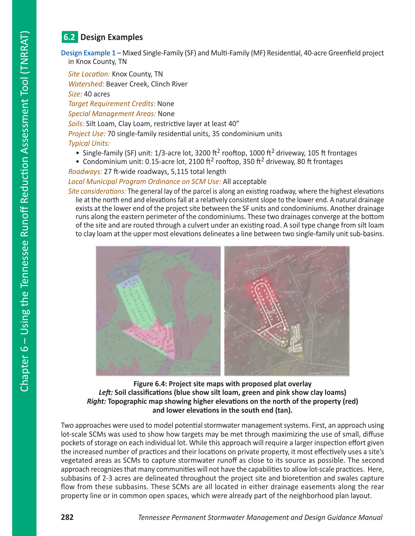## **6.2 Design Examples**

**Design Example 1** – Mixed Single-Family (SF) and Multi-Family (MF) Residential, 40-acre Greenfield project in Knox County, TN

*Site Location:* Knox County, TN *Watershed:* Beaver Creek, Clinch River

*Size:* 40 acres

*Target Requirement Credits:* None *Special Management Areas:* None

*Soils:* Silt Loam, Clay Loam, restrictive layer at least 40"

*Project Use:* 70 single-family residential units, 35 condominium units

#### *Typical Units:*

- Single-family (SF) unit:  $1/3$ -acre lot, 3200 ft<sup>2</sup> rooftop, 1000 ft<sup>2</sup> driveway, 105 ft frontages
- Condominium unit: 0.15-acre lot, 2100 ft<sup>2</sup> rooftop, 350 ft<sup>2</sup> driveway, 80 ft frontages

*Roadways:* 27 ft-wide roadways, 5,115 total length

#### *Local Municipal Program Ordinance on SCM Use:* All acceptable

*Site considerations:* The general lay of the parcel is along an existing roadway, where the highest elevations lie at the north end and elevations fall at a relatively consistent slope to the lower end. A natural drainage exists at the lower end of the project site between the SF units and condominiums. Another drainage runs along the eastern perimeter of the condominiums. These two drainages converge at the bottom of the site and are routed through a culvert under an existing road. A soil type change from silt loam to clay loam at the upper most elevations delineates a line between two single-family unit sub-basins.



#### **Figure 6.4: Project site maps with proposed plat overlay**  *Left:* **Soil classifications (blue show silt loam, green and pink show clay loams)** *Right:* **Topographic map showing higher elevations on the north of the property (red) and lower elevations in the south end (tan).**

Two approaches were used to model potential stormwater management systems. First, an approach using lot-scale SCMs was used to show how targets may be met through maximizing the use of small, diffuse pockets of storage on each individual lot. While this approach will require a larger inspection effort given the increased number of practices and their locations on private property, it most effectively uses a site's vegetated areas as SCMs to capture stormwater runoff as close to its source as possible. The second approach recognizes that many communities will not have the capabilities to allow lot-scale practices. Here, subbasins of 2-3 acres are delineated throughout the project site and bioretention and swales capture flow from these subbasins. These SCMs are all located in either drainage easements along the rear property line or in common open spaces, which were already part of the neighborhood plan layout.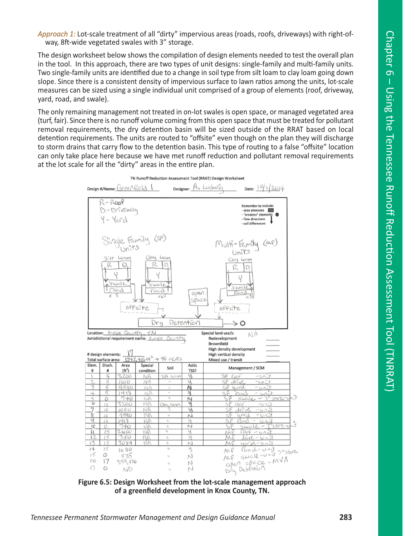*Approach 1:* Lot-scale treatment of all "dirty" impervious areas (roads, roofs, driveways) with right-ofway, 8ft-wide vegetated swales with 3" storage.

The design worksheet below shows the compilation of design elements needed to test the overall plan in the tool. In this approach, there are two types of unit designs: single-family and multi-family units. Two single-family units are identified due to a change in soil type from silt loam to clay loam going down slope. Since there is a consistent density of impervious surface to lawn ratios among the units, lot-scale measures can be sized using a single individual unit comprised of a group of elements (roof, driveway, yard, road, and swale).

The only remaining management not treated in on-lot swales is open space, or managed vegetated area (turf, fair). Since there is no runoff volume coming from this open space that must be treated for pollutant removal requirements, the dry detention basin will be sized outside of the RRAT based on local detention requirements. The units are routed to "offsite" even though on the plan they will discharge to storm drains that carry flow to the detention basin. This type of routing to a false "offsite" location can only take place here because we have met runoff reduction and pollutant removal requirements at the lot scale for all the "dirty" areas in the entire plan.



**Figure 6.5: Design Worksheet from the lot-scale management approach of a greenfield development in Knox County, TN.**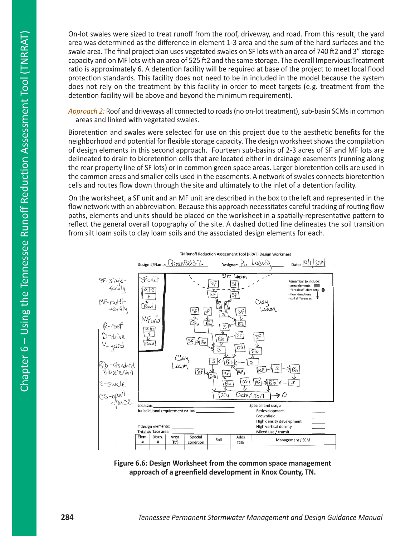On-lot swales were sized to treat runoff from the roof, driveway, and road. From this result, the yard area was determined as the difference in element 1-3 area and the sum of the hard surfaces and the swale area. The final project plan uses vegetated swales on SF lots with an area of 740 ft2 and 3" storage capacity and on MF lots with an area of 525 ft2 and the same storage. The overall Impervious:Treatment ratio is approximately 6. A detention facility will be required at base of the project to meet local flood protection standards. This facility does not need to be in included in the model because the system does not rely on the treatment by this facility in order to meet targets (e.g. treatment from the detention facility will be above and beyond the minimum requirement).

*Approach 2:* Roof and driveways all connected to roads (no on-lot treatment), sub-basin SCMs in common areas and linked with vegetated swales.

Bioretention and swales were selected for use on this project due to the aesthetic benefits for the neighborhood and potential for flexible storage capacity. The design worksheet shows the compilation of design elements in this second approach. Fourteen sub-basins of 2-3 acres of SF and MF lots are delineated to drain to bioretention cells that are located either in drainage easements (running along the rear property line of SF lots) or in common green space areas. Larger bioretention cells are used in the common areas and smaller cells used in the easements. A network of swales connects bioretention cells and routes flow down through the site and ultimately to the inlet of a detention facility.

On the worksheet, a SF unit and an MF unit are described in the box to the left and represented in the flow network with an abbreviation. Because this approach necessitates careful tracking of routing flow paths, elements and units should be placed on the worksheet in a spatially-representative pattern to reflect the general overall topography of the site. A dashed dotted line delineates the soil transition from silt loam soils to clay loam soils and the associated design elements for each.



**Figure 6.6: Design Worksheet from the common space management approach of a greenfield development in Knox County, TN.**